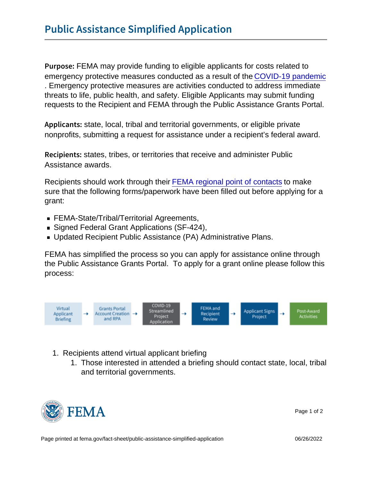P u r p of EMA may provide funding to eligible applicants for costs related to emergency protective measures conducted as a result of the [COVID-19 pandemic](https://www.fema.gov/news-release/20200726/covid-19-emergency-declaration) . Emergency protective measures are activities conducted to address immediate threats to life, public health, and safety. Eligible Applicants may submit funding requests to the Recipient and FEMA through the Public Assistance Grants Portal.

A p p I i c astrates, local, tribal and territorial governments, or eligible private nonprofits, submitting a request for assistance under a recipient's federal award.

Recipiestates; tribes, or territories that receive and administer Public Assistance awards.

Recipients should work through their [FEMA regional point of contacts](https://www.fema.gov/about/contact#regions) to make sure that the following forms/paperwork have been filled out before applying for a grant:

- FEMA-State/Tribal/Territorial Agreements,
- Signed Federal Grant Applications (SF-424),
- Updated Recipient Public Assistance (PA) Administrative Plans.

FEMA has simplified the process so you can apply for assistance online through the Public Assistance Grants Portal. To apply for a grant online please follow this process:

- 1. Recipients attend virtual applicant briefing
	- 1. Those interested in attended a briefing should contact state, local, tribal and territorial governments.



Page 1 of 2